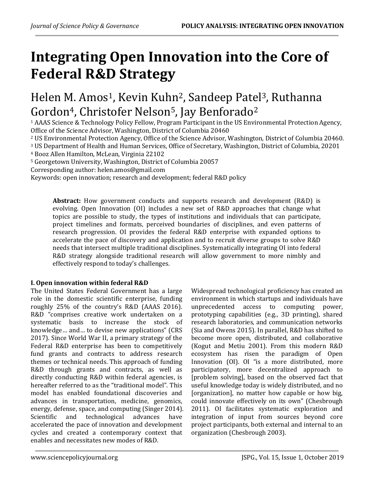# Integrating Open Innovation into the Core of Federal R&D Strategy

# Helen M. Amos<sup>1</sup>, Kevin Kuhn<sup>2</sup>, Sandeep Patel<sup>3</sup>, Ruthanna Gordon<sup>4</sup>, Christofer Nelson<sup>5</sup>, Jay Benforado<sup>2</sup>

<sup>1</sup> AAAS Science & Technology Policy Fellow, Program Participant in the US Environmental Protection Agency, Office of the Science Advisor, Washington, District of Columbia 20460

<sup>2</sup> US Environmental Protection Agency, Office of the Science Advisor, Washington, District of Columbia 20460.

<sup>3</sup> US Department of Health and Human Services, Office of Secretary, Washington, District of Columbia, 20201

<sup>4</sup> Booz Allen Hamilton, McLean, Virginia 22102

<sup>5</sup> Georgetown University, Washington, District of Columbia 20057

Corresponding author: helen.amos@gmail.com

Keywords: open innovation; research and development; federal R&D policy

Abstract: How government conducts and supports research and development (R&D) is evolving. Open Innovation (OI) includes a new set of R&D approaches that change what topics are possible to study, the types of institutions and individuals that can participate, project timelines and formats, perceived boundaries of disciplines, and even patterns of research progression. OI provides the federal R&D enterprise with expanded options to accelerate the pace of discovery and application and to recruit diverse groups to solve R&D needs that intersect multiple traditional disciplines. Systematically integrating OI into federal R&D strategy alongside traditional research will allow government to more nimbly and effectively respond to today's challenges.

# I. Open innovation within federal R&D

The United States Federal Government has a large role in the domestic scientific enterprise, funding roughly 25% of the country's R&D (AAAS 2016). R&D "comprises creative work undertaken on a systematic basis to increase the stock of knowledge… and… to devise new applications" (CRS 2017). Since World War II, a primary strategy of the Federal R&D enterprise has been to competitively fund grants and contracts to address research themes or technical needs. This approach of funding R&D through grants and contracts, as well as directly conducting R&D within federal agencies, is hereafter referred to as the "traditional model". This model has enabled foundational discoveries and advances in transportation, medicine, genomics, energy, defense, space, and computing (Singer 2014). Scientific and technological advances have accelerated the pace of innovation and development cycles and created a contemporary context that enables and necessitates new modes of R&D.

Widespread technological proficiency has created an environment in which startups and individuals have unprecedented access to computing power, prototyping capabilities (e.g., 3D printing), shared research laboratories, and communication networks (Sia and Owens 2015). In parallel, R&D has shifted to become more open, distributed, and collaborative (Kogut and Metiu 2001). From this modern R&D ecosystem has risen the paradigm of Open Innovation (OI). OI "is a more distributed, more participatory, more decentralized approach to [problem solving], based on the observed fact that useful knowledge today is widely distributed, and no [organization], no matter how capable or how big, could innovate effectively on its own" (Chesbrough 2011). OI facilitates systematic exploration and integration of input from sources beyond core project participants, both external and internal to an organization (Chesbrough 2003).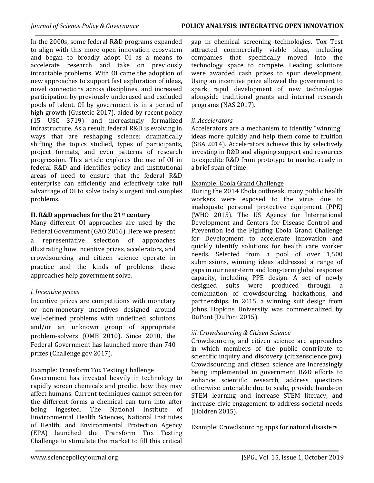In the 2000s, some federal R&D programs expanded to align with this more open innovation ecosystem and began to broadly adopt OI as a means to accelerate research and take on previously intractable problems. With OI came the adoption of new approaches to support fast exploration of ideas, novel connections across disciplines, and increased participation by previously underused and excluded pools of talent. OI by government is in a period of high growth (Gustetic 2017), aided by recent policy (15 USC 3719) and increasingly formalized infrastructure. As a result, federal R&D is evolving in ways that are reshaping science: dramatically shifting the topics studied, types of participants, project formats, and even patterns of research progression. This article explores the use of OI in federal R&D and identifies policy and institutional areas of need to ensure that the federal R&D enterprise can efficiently and effectively take full advantage of OI to solve today's urgent and complex problems.

# II. R&D approaches for the 21st century

Many different OI approaches are used by the Federal Government (GAO 2016). Here we present a representative selection of approaches illustrating how incentive prizes, accelerators, and crowdsourcing and citizen science operate in practice and the kinds of problems these approaches help government solve.

# i. Incentive prizes

Incentive prizes are competitions with monetary or non-monetary incentives designed around well-defined problems with undefined solutions and/or an unknown group of appropriate problem-solvers (OMB 2010). Since 2010, the Federal Government has launched more than 740 prizes (Challenge.gov 2017).

# Example: Transform Tox Testing Challenge

Government has invested heavily in technology to rapidly screen chemicals and predict how they may affect humans. Current techniques cannot screen for the different forms a chemical can turn into after being ingested. The National Institute of Environmental Health Sciences, National Institutes of Health, and Environmental Protection Agency (EPA) launched the Transform Tox Testing Challenge to stimulate the market to fill this critical gap in chemical screening technologies. Tox Test attracted commercially viable ideas, including companies that specifically moved into the technology space to compete. Leading solutions were awarded cash prizes to spur development. Using an incentive prize allowed the government to spark rapid development of new technologies alongside traditional grants and internal research programs (NAS 2017).

# ii. Accelerators

Accelerators are a mechanism to identify "winning" ideas more quickly and help them come to fruition (SBA 2014). Accelerators achieve this by selectively investing in R&D and aligning support and resources to expedite R&D from prototype to market-ready in a brief span of time.

# Example: Ebola Grand Challenge

During the 2014 Ebola outbreak, many public health workers were exposed to the virus due to inadequate personal protective equipment (PPE) (WHO 2015). The US Agency for International Development and Centers for Disease Control and Prevention led the Fighting Ebola Grand Challenge for Development to accelerate innovation and quickly identify solutions for health care worker needs. Selected from a pool of over 1,500 submissions, winning ideas addressed a range of gaps in our near-term and long-term global response capacity, including PPE design. A set of newly designed suits were produced through a combination of crowdsourcing, hackathons, and partnerships. In 2015, a winning suit design from Johns Hopkins University was commercialized by DuPont (DuPont 2015).

# iii. Crowdsourcing & Citizen Science

Crowdsourcing and citizen science are approaches in which members of the public contribute to scientific inquiry and discovery (citizenscience.gov). Crowdsourcing and citizen science are increasingly being implemented in government R&D efforts to enhance scientific research, address questions otherwise untenable due to scale, provide hands-on STEM learning and increase STEM literacy, and increase civic engagement to address societal needs (Holdren 2015).

Example: Crowdsourcing apps for natural disasters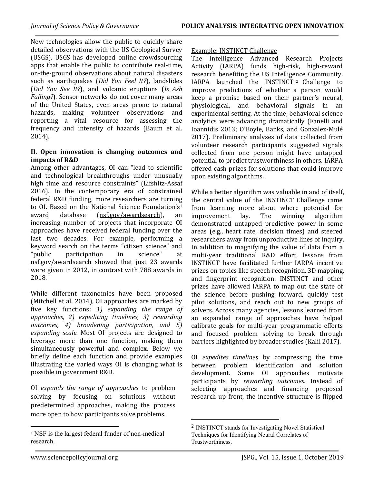New technologies allow the public to quickly share detailed observations with the US Geological Survey (USGS). USGS has developed online crowdsourcing apps that enable the public to contribute real-time, on-the-ground observations about natural disasters such as earthquakes (Did You Feel It?), landslides (Did You See It?), and volcanic eruptions (Is Ash Falling?). Sensor networks do not cover many areas of the United States, even areas prone to natural hazards, making volunteer observations and reporting a vital resource for assessing the frequency and intensity of hazards (Baum et al. 2014).

### II. Open innovation is changing outcomes and impacts of R&D

Among other advantages, OI can "lead to scientific and technological breakthroughs under unusually high time and resource constraints" (Lifshitz-Assaf 2016). In the contemporary era of constrained federal R&D funding, more researchers are turning to OI. Based on the National Science Foundation's<sup>1</sup> award database (nsf.gov/awardsearch), an increasing number of projects that incorporate OI approaches have received federal funding over the last two decades. For example, performing a keyword search on the terms "citizen science" and "public participation in science" at nsf.gov/awardsearch showed that just 23 awards were given in 2012, in contrast with 788 awards in 2018.

While different taxonomies have been proposed (Mitchell et al. 2014), OI approaches are marked by five key functions: 1) expanding the range of approaches, 2) expediting timelines, 3) rewarding outcomes, 4) broadening participation, and 5) expanding scale. Most OI projects are designed to leverage more than one function, making them simultaneously powerful and complex. Below we briefly define each function and provide examples illustrating the varied ways OI is changing what is possible in government R&D.

OI expands the range of approaches to problem solving by focusing on solutions without predetermined approaches, making the process more open to how participants solve problems.

# Example: INSTINCT Challenge

The Intelligence Advanced Research Projects Activity (IARPA) funds high-risk, high-reward research benefiting the US Intelligence Community. IARPA launched the INSTINCT <sup>2</sup> Challenge to improve predictions of whether a person would keep a promise based on their partner's neural, physiological, and behavioral signals in an experimental setting. At the time, behavioral science analytics were advancing dramatically (Fanelli and Ioannidis 2013; O'Boyle, Banks, and Gonzalez-Mulé 2017). Preliminary analyses of data collected from volunteer research participants suggested signals collected from one person might have untapped potential to predict trustworthiness in others. IARPA offered cash prizes for solutions that could improve upon existing algorithms.

While a better algorithm was valuable in and of itself, the central value of the INSTINCT Challenge came from learning more about where potential for improvement lay. The winning algorithm demonstrated untapped predictive power in some areas (e.g., heart rate, decision times) and steered researchers away from unproductive lines of inquiry. In addition to magnifying the value of data from a multi-year traditional R&D effort, lessons from INSTINCT have facilitated further IARPA incentive prizes on topics like speech recognition, 3D mapping, and fingerprint recognition. INSTINCT and other prizes have allowed IARPA to map out the state of the science before pushing forward, quickly test pilot solutions, and reach out to new groups of solvers. Across many agencies, lessons learned from an expanded range of approaches have helped calibrate goals for multi-year programmatic efforts and focused problem solving to break through barriers highlighted by broader studies (Kalil 2017).

OI expedites timelines by compressing the time between problem identification and solution development. Some OI approaches motivate participants by rewarding outcomes. Instead of selecting approaches and financing proposed research up front, the incentive structure is flipped

l

l

<sup>1</sup> NSF is the largest federal funder of non-medical research.

<sup>2</sup> INSTINCT stands for Investigating Novel Statistical Techniques for Identifying Neural Correlates of Trustworthiness.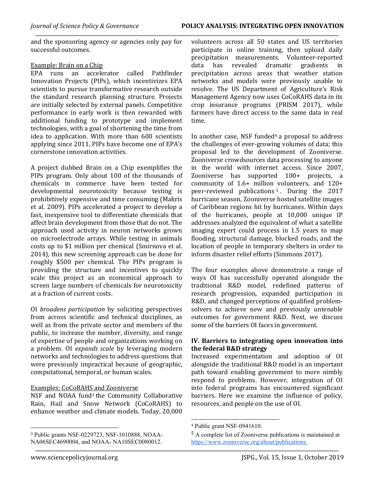and the sponsoring agency or agencies only pay for successful outcomes.

### Example: Brain on a Chip

EPA runs an accelerator called Pathfinder Innovation Projects (PIPs), which incentivizes EPA scientists to pursue transformative research outside the standard research planning structure. Projects are initially selected by external panels. Competitive performance in early work is then rewarded with additional funding to prototype and implement technologies, with a goal of shortening the time from idea to application. With more than 600 scientists applying since 2011, PIPs have become one of EPA's cornerstone innovation activities.

A project dubbed Brain on a Chip exemplifies the PIPs program. Only about 100 of the thousands of chemicals in commerce have been tested for developmental neurotoxicity because testing is prohibitively expensive and time consuming (Makris et al. 2009). PIPs accelerated a project to develop a fast, inexpensive tool to differentiate chemicals that affect brain development from those that do not. The approach used activity in neuron networks grown on microelectrode arrays. While testing in animals costs up to \$1 million per chemical (Smirnova et al. 2014), this new screening approach can be done for roughly \$500 per chemical. The PIPs program is providing the structure and incentives to quickly scale this project as an economical approach to screen large numbers of chemicals for neurotoxicity at a fraction of current costs.

OI broadens participation by soliciting perspectives from across scientific and technical disciplines, as well as from the private sector and members of the public, to increase the number, diversity, and range of expertise of people and organizations working on a problem. OI expands scale by leveraging modern networks and technologies to address questions that were previously impractical because of geographic, computational, temporal, or human scales.

#### Examples: CoCoRAHS and Zooniverse

NSF and NOAA fund3 the Community Collaborative Rain, Hail and Snow Network (CoCoRAHS) to enhance weather and climate models. Today, 20,000

volunteers across all 50 states and US territories participate in online training, then upload daily precipitation measurements. Volunteer-reported data has revealed dramatic gradients in precipitation across areas that weather station networks and models were previously unable to resolve. The US Department of Agriculture's Risk Management Agency now uses CoCoRAHS data in its crop insurance programs (PRISM 2017), while farmers have direct access to the same data in real time.

In another case, NSF funded $4a$  proposal to address the challenges of ever-growing volumes of data; this proposal led to the development of Zooniverse. Zooniverse crowdsources data processing to anyone in the world with internet access. Since 2007, Zooniverse has supported 100+ projects, a community of 1.6+ million volunteers, and 120+ peer-reviewed publications <sup>5</sup> . During the 2017 hurricane season, Zooniverse hosted satellite images of Caribbean regions hit by hurricanes. Within days of the hurricanes, people at 10,000 unique IP addresses analyzed the equivalent of what a satellite imaging expert could process in 1.5 years to map flooding, structural damage, blocked roads, and the location of people in temporary shelters in order to inform disaster relief efforts (Simmons 2017).

The four examples above demonstrate a range of ways OI has successfully operated alongside the traditional R&D model, redefined patterns of research progression, expanded participation in R&D, and changed perceptions of qualified problemsolvers to achieve new and previously untenable outcomes for government R&D. Next, we discuss some of the barriers OI faces in government.

### IV. Barriers to integrating open innovation into the federal R&D strategy

Increased experimentation and adoption of OI alongside the traditional R&D model is an important path toward enabling government to more nimbly respond to problems. However, integration of OI into federal programs has encountered significant barriers. Here we examine the influence of policy, resources, and people on the use of OI.

l

<sup>3</sup> Public grants NSF-0229723, NSF-1010888, NOAA-NA06SEC4690004, and NOAA- NA10SEC0080012.

l <sup>4</sup> Public grant NSF-0941610.

<sup>5</sup> A complete list of Zooniverse publications is maintained at https://www.zooniverse.org/about/publications.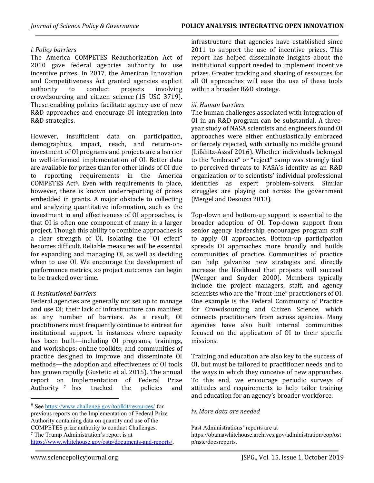# i. Policy barriers

The America COMPETES Reauthorization Act of 2010 gave federal agencies authority to use incentive prizes. In 2017, the American Innovation and Competitiveness Act granted agencies explicit authority to conduct projects involving crowdsourcing and citizen science (15 USC 3719). These enabling policies facilitate agency use of new R&D approaches and encourage OI integration into R&D strategies.

However, insufficient data on participation, demographics, impact, reach, and return-oninvestment of OI programs and projects are a barrier to well-informed implementation of OI. Better data are available for prizes than for other kinds of OI due to reporting requirements in the America COMPETES Act6. Even with requirements in place, however, there is known underreporting of prizes embedded in grants. A major obstacle to collecting and analyzing quantitative information, such as the investment in and effectiveness of OI approaches, is that OI is often one component of many in a larger project. Though this ability to combine approaches is a clear strength of OI, isolating the "OI effect" becomes difficult. Reliable measures will be essential for expanding and managing OI, as well as deciding when to use OI. We encourage the development of performance metrics, so project outcomes can begin to be tracked over time.

# ii. Institutional barriers

Federal agencies are generally not set up to manage and use OI; their lack of infrastructure can manifest as any number of barriers. As a result, OI practitioners must frequently continue to entreat for institutional support. In instances where capacity has been built—including OI programs, trainings, and workshops; online toolkits; and communities of practice designed to improve and disseminate OI methods—the adoption and effectiveness of OI tools has grown rapidly (Gustetic et al. 2015). The annual report on Implementation of Federal Prize Authority 7 has tracked the policies and

infrastructure that agencies have established since 2011 to support the use of incentive prizes. This report has helped disseminate insights about the institutional support needed to implement incentive prizes. Greater tracking and sharing of resources for all OI approaches will ease the use of these tools within a broader R&D strategy.

# iii. Human barriers

The human challenges associated with integration of OI in an R&D program can be substantial. A threeyear study of NASA scientists and engineers found OI approaches were either enthusiastically embraced or fiercely rejected, with virtually no middle ground (Lifshitz-Assaf 2016). Whether individuals belonged to the "embrace" or "reject" camp was strongly tied to perceived threats to NASA's identity as an R&D organization or to scientists' individual professional identities as expert problem-solvers. Similar struggles are playing out across the government (Mergel and Desouza 2013).

Top-down and bottom-up support is essential to the broader adoption of OI. Top-down support from senior agency leadership encourages program staff to apply OI approaches. Bottom-up participation spreads OI approaches more broadly and builds communities of practice. Communities of practice can help galvanize new strategies and directly increase the likelihood that projects will succeed (Wenger and Snyder 2000). Members typically include the project managers, staff, and agency scientists who are the "front-line" practitioners of OI. One example is the Federal Community of Practice for Crowdsourcing and Citizen Science, which connects practitioners from across agencies. Many agencies have also built internal communities focused on the application of OI to their specific missions.

Training and education are also key to the success of OI, but must be tailored to practitioner needs and to the ways in which they conceive of new approaches. To this end, we encourage periodic surveys of attitudes and requirements to help tailor training and education for an agency's broader workforce.

iv. More data are needed

l

<sup>6</sup> See https://www.challenge.gov/toolkit/resources/ for previous reports on the Implementation of Federal Prize Authority containing data on quantity and use of the COMPETES prize authority to conduct Challenges. <sup>7</sup> The Trump Administration's report is at https://www.whitehouse.gov/ostp/documents-and-reports/.

Past Administrations' reports are at

https://obamawhitehouse.archives.gov/administration/eop/ost p/nstc/docsreports.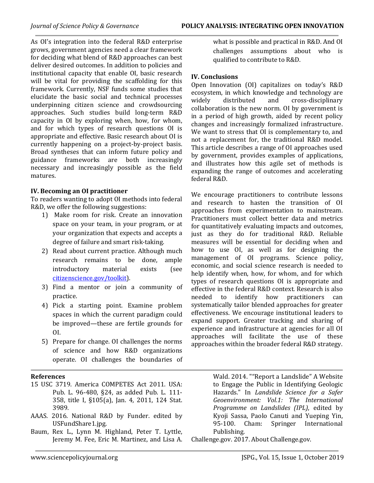As OI's integration into the federal R&D enterprise grows, government agencies need a clear framework for deciding what blend of R&D approaches can best deliver desired outcomes. In addition to policies and institutional capacity that enable OI, basic research will be vital for providing the scaffolding for this framework. Currently, NSF funds some studies that elucidate the basic social and technical processes underpinning citizen science and crowdsourcing approaches. Such studies build long-term R&D capacity in OI by exploring when, how, for whom, and for which types of research questions OI is appropriate and effective. Basic research about OI is currently happening on a project-by-project basis. Broad syntheses that can inform future policy and guidance frameworks are both increasingly necessary and increasingly possible as the field matures.

# IV. Becoming an OI practitioner

To readers wanting to adopt OI methods into federal R&D, we offer the following suggestions:

- 1) Make room for risk. Create an innovation space on your team, in your program, or at your organization that expects and accepts a degree of failure and smart risk-taking.
- 2) Read about current practice. Although much research remains to be done, ample introductory material exists (see citizenscience.gov/toolkit).
- 3) Find a mentor or join a community of practice.
- 4) Pick a starting point. Examine problem spaces in which the current paradigm could be improved—these are fertile grounds for OI.
- 5) Prepare for change. OI challenges the norms of science and how R&D organizations operate. OI challenges the boundaries of

#### References

- 15 USC 3719. America COMPETES Act 2011. USA: Pub. L. 96-480, §24, as added Pub. L. 111- 358, title I, §105(a), Jan. 4, 2011, 124 Stat. 3989.
- AAAS. 2016. National R&D by Funder. edited by USFundShare1.jpg.
- Baum, Rex L., Lynn M. Highland, Peter T. Lyttle, Jeremy M. Fee, Eric M. Martinez, and Lisa A.

what is possible and practical in R&D. And OI challenges assumptions about who is qualified to contribute to R&D.

# IV. Conclusions

Open Innovation (OI) capitalizes on today's R&D ecosystem, in which knowledge and technology are widely distributed and cross-disciplinary collaboration is the new norm. OI by government is in a period of high growth, aided by recent policy changes and increasingly formalized infrastructure. We want to stress that OI is complementary to, and not a replacement for, the traditional R&D model. This article describes a range of OI approaches used by government, provides examples of applications, and illustrates how this agile set of methods is expanding the range of outcomes and accelerating federal R&D.

We encourage practitioners to contribute lessons and research to hasten the transition of OI approaches from experimentation to mainstream. Practitioners must collect better data and metrics for quantitatively evaluating impacts and outcomes, just as they do for traditional R&D. Reliable measures will be essential for deciding when and how to use OI, as well as for designing the management of OI programs. Science policy, economic, and social science research is needed to help identify when, how, for whom, and for which types of research questions OI is appropriate and effective in the federal R&D context. Research is also needed to identify how practitioners can systematically tailor blended approaches for greater effectiveness. We encourage institutional leaders to expand support. Greater tracking and sharing of experience and infrastructure at agencies for all OI approaches will facilitate the use of these approaches within the broader federal R&D strategy.

> Wald. 2014. ""Report a Landslide" A Website to Engage the Public in Identifying Geologic Hazards." In Landslide Science for a Safer Geoenvironment: Vol.1: The International Programme on Landslides (IPL), edited by Kyoji Sassa, Paolo Canuti and Yueping Yin, 95-100. Cham: Springer International Publishing.

Challenge.gov. 2017. About Challenge.gov.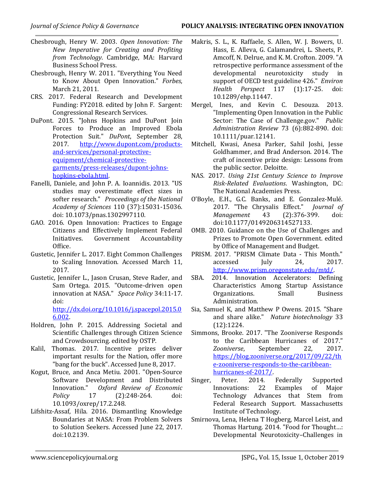- Chesbrough, Henry W. 2003. Open Innovation: The New Imperative for Creating and Profiting from Technology. Cambridge, MA: Harvard Business School Press.
- Chesbrough, Henry W. 2011. "Everything You Need to Know About Open Innovation." Forbes, March 21, 2011.
- CRS. 2017. Federal Research and Development Funding: FY2018. edited by John F. Sargent: Congressional Research Services.
- DuPont. 2015. "Johns Hopkins and DuPont Join Forces to Produce an Improved Ebola Protection Suit." DuPont, September 28, 2017. http://www.dupont.com/productsand-services/personal-protectiveequipment/chemical-protectivegarments/press-releases/dupont-johnshopkins-ebola.html.
- Fanelli, Daniele, and John P. A. Ioannidis. 2013. "US studies may overestimate effect sizes in softer research." Proceedings of the National Academy of Sciences 110 (37):15031-15036. doi: 10.1073/pnas.1302997110.
- GAO. 2016. Open Innovation: Practices to Engage Citizens and Effectively Implement Federal Initiatives. Government Accountability Office.
- Gustetic, Jennifer L. 2017. Eight Common Challenges to Scaling Innovation. Accessed March 11, 2017.
- Gustetic, Jennifer L., Jason Crusan, Steve Rader, and Sam Ortega. 2015. "Outcome-driven open innovation at NASA." Space Policy 34:11-17. doi: http://dx.doi.org/10.1016/j.spacepol.2015.0 6.002.
- Holdren, John P. 2015. Addressing Societal and Scientific Challenges through Citizen Science and Crowdsourcing. edited by OSTP.
- Kalil, Thomas. 2017. Incentive prizes deliver important results for the Nation, offer more "bang for the buck". Accessed June 8, 2017.
- Kogut, Bruce, and Anca Metiu. 2001. "Open-Source Software Development and Distributed Innovation." Oxford Review of Economic Policy 17 (2):248-264. doi: 10.1093/oxrep/17.2.248.
- Lifshitz-Assaf, Hila. 2016. Dismantling Knowledge Boundaries at NASA: From Problem Solvers to Solution Seekers. Accessed June 22, 2017. doi:10.2139.
- Makris, S. L., K. Raffaele, S. Allen, W. J. Bowers, U. Hass, E. Alleva, G. Calamandrei, L. Sheets, P. Amcoff, N. Delrue, and K. M. Crofton. 2009. "A retrospective performance assessment of the developmental neurotoxicity study in support of OECD test guideline 426." Environ Health Perspect 117 (1):17-25. doi: 10.1289/ehp.11447.
- Mergel, Ines, and Kevin C. Desouza. 2013. "Implementing Open Innovation in the Public Sector: The Case of Challenge.gov." Public Administration Review 73 (6):882-890. doi: 10.1111/puar.12141.
- Mitchell, Kwasi, Anesa Parker, Sahil Joshi, Jesse Goldhammer, and Brad Anderson. 2014. The craft of incentive prize design: Lessons from the public sector. Deloitte.
- NAS. 2017. Using 21st Century Science to Improve Risk-Related Evaluations. Washington, DC: The National Academies Press.
- O'Boyle, E.H., G.C. Banks, and E. Gonzalez-Mulé. 2017. "The Chrysalis Effect." Journal of Management 43 (2):376-399. doi: doi:10.1177/0149206314527133.
- OMB. 2010. Guidance on the Use of Challenges and Prizes to Promote Open Government. edited by Office of Management and Budget.
- PRISM. 2017. "PRISM Climate Data This Month." accessed July 24, 2017. http://www.prism.oregonstate.edu/mtd/.
- SBA. 2014. Innovation Accelerators: Defining Characteristics Among Startup Assistance Organizations. Small Business Administration.
- Sia, Samuel K, and Matthew P Owens. 2015. "Share and share alike." Nature biotechnology 33 (12):1224.
- Simmons, Brooke. 2017. "The Zooniverse Responds to the Caribbean Hurricanes of 2017." Zooniverse, September 22, 2017. https://blog.zooniverse.org/2017/09/22/th e-zooniverse-responds-to-the-caribbeanhurricanes-of-2017/.
- Singer, Peter. 2014. Federally Supported Innovations: 22 Examples of Major Technology Advances that Stem from Federal Research Support. Massachusetts Institute of Technology.
- Smirnova, Lena, Helena T Hogberg, Marcel Leist, and Thomas Hartung. 2014. "Food for Thought…: Developmental Neurotoxicity–Challenges in